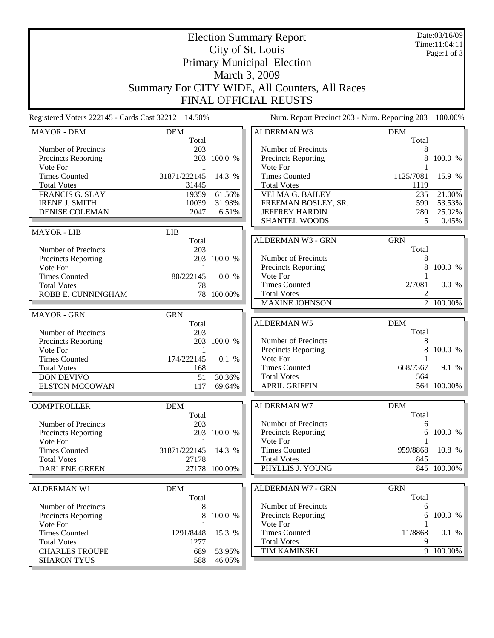Date:03/16/09 Time:11:04:11 Page:1 of 3

## Election Summary Report City of St. Louis Primary Municipal Election March 3, 2009 Summary For CITY WIDE, All Counters, All Races FINAL OFFICIAL REUSTS

Registered Voters 222145 - Cards Cast 32212 14.50% Num. Report Precinct 203 - Num. Reporting 203 100.00%

| <b>MAYOR - DEM</b>         | <b>DEM</b>     |               | <b>ALDERMAN W3</b>       | <b>DEM</b>     |             |
|----------------------------|----------------|---------------|--------------------------|----------------|-------------|
|                            | Total          |               |                          | Total          |             |
| Number of Precincts        | 203            |               | Number of Precincts      | 8              |             |
| Precincts Reporting        |                | 203 100.0 %   | Precincts Reporting      | 8              | 100.0 %     |
| Vote For                   | -1             |               | Vote For                 | 1              |             |
| <b>Times Counted</b>       | 31871/222145   | 14.3 %        | <b>Times Counted</b>     | 1125/7081      | 15.9 %      |
| <b>Total Votes</b>         | 31445          |               | <b>Total Votes</b>       | 1119           |             |
| FRANCIS G. SLAY            | 19359          | 61.56%        | <b>VELMA G. BAILEY</b>   | 235            | 21.00%      |
| <b>IRENE J. SMITH</b>      | 10039          | 31.93%        | FREEMAN BOSLEY, SR.      | 599            | 53.53%      |
| <b>DENISE COLEMAN</b>      | 2047           | 6.51%         | <b>JEFFREY HARDIN</b>    | 280            | 25.02%      |
|                            |                |               | <b>SHANTEL WOODS</b>     | 5              | $0.45\%$    |
| <b>MAYOR - LIB</b>         | <b>LIB</b>     |               |                          |                |             |
|                            | Total          |               | <b>ALDERMAN W3 - GRN</b> | <b>GRN</b>     |             |
| Number of Precincts        | 203            |               |                          | Total          |             |
| Precincts Reporting        |                | 203 100.0 %   | Number of Precincts      | 8              |             |
| Vote For                   | $\overline{1}$ |               | Precincts Reporting      | 8              | 100.0 %     |
| <b>Times Counted</b>       | 80/222145      | 0.0 %         | Vote For                 |                |             |
| <b>Total Votes</b>         | 78             |               | <b>Times Counted</b>     | 2/7081         | 0.0 %       |
| ROBB E. CUNNINGHAM         | 78             | 100.00%       | <b>Total Votes</b>       | 2              |             |
|                            |                |               | <b>MAXINE JOHNSON</b>    | $\overline{2}$ | 100.00%     |
|                            |                |               |                          |                |             |
| <b>MAYOR - GRN</b>         | <b>GRN</b>     |               |                          |                |             |
|                            | Total          |               | <b>ALDERMAN W5</b>       | <b>DEM</b>     |             |
| Number of Precincts        | 203            |               |                          | Total          |             |
| <b>Precincts Reporting</b> |                | 203 100.0 %   | Number of Precincts      | 8              |             |
| Vote For                   | 1              |               | Precincts Reporting      | 8              | 100.0 %     |
| <b>Times Counted</b>       | 174/222145     | 0.1 %         | Vote For                 | 1              |             |
| <b>Total Votes</b>         | 168            |               | <b>Times Counted</b>     | 668/7367       | 9.1 %       |
| <b>DON DEVIVO</b>          | 51             | 30.36%        | <b>Total Votes</b>       | 564            |             |
| <b>ELSTON MCCOWAN</b>      | 117            | 69.64%        | <b>APRIL GRIFFIN</b>     |                | 564 100.00% |
|                            |                |               |                          |                |             |
| <b>COMPTROLLER</b>         | <b>DEM</b>     |               | <b>ALDERMAN W7</b>       | <b>DEM</b>     |             |
|                            | Total          |               |                          | Total          |             |
| Number of Precincts        | 203            |               | Number of Precincts      | 6              |             |
| Precincts Reporting        |                | 203 100.0 %   | Precincts Reporting      | 6              | 100.0 %     |
| Vote For                   | 1              |               | Vote For                 |                |             |
| <b>Times Counted</b>       | 31871/222145   | 14.3 %        | <b>Times Counted</b>     | 959/8868       | 10.8 %      |
| <b>Total Votes</b>         | 27178          |               | <b>Total Votes</b>       | 845            |             |
| <b>DARLENE GREEN</b>       |                | 27178 100.00% | PHYLLIS J. YOUNG         |                | 845 100.00% |
|                            |                |               |                          |                |             |
| ALDERMAN W1                | <b>DEM</b>     |               | ALDERMAN W7 - GRN        | <b>GRN</b>     |             |
|                            | Total          |               |                          | Total          |             |
| Number of Precincts        | 8              |               | Number of Precincts      | 6              |             |
| <b>Precincts Reporting</b> | 8              | 100.0 %       | Precincts Reporting      | 6              | 100.0 %     |
| Vote For                   |                |               | Vote For                 |                |             |
| <b>Times Counted</b>       | 1291/8448      | 15.3 %        | <b>Times Counted</b>     | 11/8868        | 0.1 %       |
| <b>Total Votes</b>         | 1277           |               | <b>Total Votes</b>       | 9              |             |
| <b>CHARLES TROUPE</b>      | 689            | 53.95%        | TIM KAMINSKI             |                | 9 100.00%   |
| <b>SHARON TYUS</b>         | 588            | 46.05%        |                          |                |             |
|                            |                |               |                          |                |             |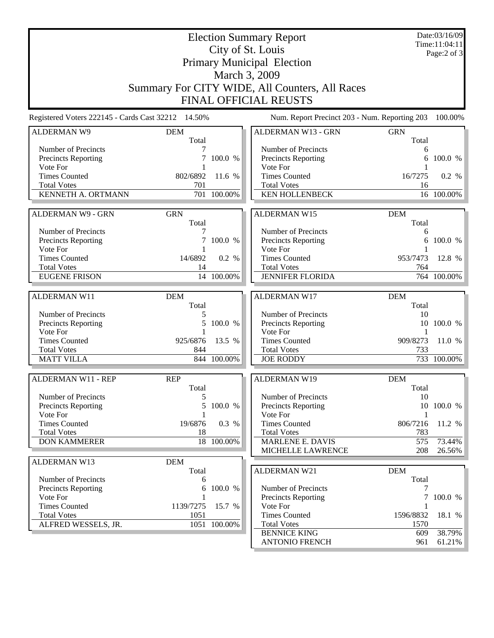Election Summary Report City of St. Louis Primary Municipal Election March 3, 2009 Summary For CITY WIDE, All Counters, All Races FINAL OFFICIAL REUSTS Date:03/16/09 Time:11:04:11 Page:2 of 3 Registered Voters 222145 - Cards Cast 32212 14.50% Num. Report Precinct 203 - Num. Reporting 203 100.00% ALDERMAN W9 DEM Total Number of Precincts<br>
Precincts Reporting<br>
7 100.0 % Precincts Reporting Vote For 1 Times Counted 802/6892 11.6 % Total Votes 701 KENNETH A. ORTMANN 701 100.00% ALDERMAN W9 - GRN GRN Total Number of Precincts<br>
Precincts Reporting<br>
7 100.0 % Precincts Reporting Vote For 1<br>Times Counted 14/6892 Times Counted 14/6892 0.2 %<br>Total Votes 14 Total Votes<br>EUGENE FRISON 14 100.00% EUGENE FRISON 14 100.00% ALDERMAN W11 DEM Total Number of Precincts<br>
Precincts Reporting<br>
5 100.0 % Precincts Reporting Vote For 1 Times Counted 925/6876 13.5 % Total Votes 844 MATT VILLA 844 100.00% ALDERMAN W11 - REP REP Total Number of Precincts<br>
Precincts Reporting<br>
5 100.0 % Precincts Reporting Vote For 1 Times Counted 19/6876 0.3 % Total Votes 18 DON KAMMERER 18 100.00% ALDERMAN W13 DEM Total Number of Precincts 6 Precincts Reporting 6 100.0 % Vote For 1<br>Times Counted 1139/7275 Times Counted 1139/7275 15.7 % Total Votes 1051 ALFRED WESSELS, JR. 1051 100.00% ALDERMAN W13 - GRN GRN Total Number of Precincts<br>Precincts Reporting 6 100.0 % Precincts Reporting Vote For 1 Times Counted 16/7275 0.2 % Total Votes 16 KEN HOLLENBECK 16 100.00% ALDERMAN W15 DEM Total Number of Precincts<br>
Precincts Reporting
and the contract of the 100.0 % Precincts Reporting Vote For 1 Times Counted 953/7473 12.8 % Total Votes<br>
JENNIFER FLORIDA<br>
764 100.00% JENNIFER FLORIDA ALDERMAN W17 DEM Total Number of Precincts<br>
Precincts Reporting<br>
10 100.0 % Precincts Reporting Vote For 1 Times Counted 909/8273 11.0 % Total Votes 733 JOE RODDY 733 100.00% ALDERMAN W19 DEM Total Number of Precincts<br>
Precincts Reporting
10 100.0 % Precincts Reporting Vote For 1 Times Counted 806/7216 11.2 % Total Votes 783 MARLENE E. DAVIS 575 575 73.44% MICHELLE LAWRENCE 208 26.56% ALDERMAN W21 DEM Total Number of Precincts 7 Precincts Reporting 7 100.0 % Vote For 1 Times Counted 1596/8832 18.1 % Total Votes 1570 BENNICE KING 609 38.79%

ANTONIO FRENCH 961 61.21%